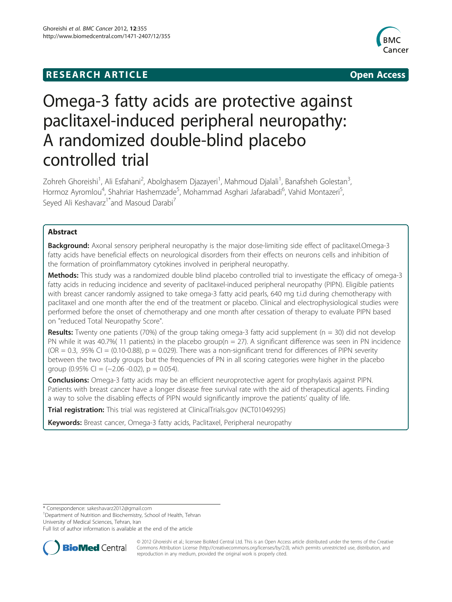# **RESEARCH ARTICLE Example 2008 CONSIDERING CONSIDERING CONSIDERING CONSIDERING CONSIDERING CONSIDERING CONSIDERING CONSIDERING CONSIDERING CONSIDERING CONSIDERING CONSIDERING CONSIDERING CONSIDERING CONSIDERING CONSIDE**



# Omega-3 fatty acids are protective against paclitaxel-induced peripheral neuropathy: A randomized double-blind placebo controlled trial

Zohreh Ghoreishi<sup>1</sup>, Ali Esfahani<sup>2</sup>, Abolghasem Djazayeri<sup>1</sup>, Mahmoud Djalali<sup>1</sup>, Banafsheh Golestan<sup>3</sup> , Hormoz Ayromlou<sup>4</sup>, Shahriar Hashemzade<sup>5</sup>, Mohammad Asghari Jafarabadi<sup>6</sup>, Vahid Montazeri<sup>5</sup> , Seyed Ali Keshavarz<sup>1\*</sup>and Masoud Darabi<sup>7</sup>

# Abstract

**Background:** Axonal sensory peripheral neuropathy is the major dose-limiting side effect of paclitaxel.Omega-3 fatty acids have beneficial effects on neurological disorders from their effects on neurons cells and inhibition of the formation of proinflammatory cytokines involved in peripheral neuropathy.

Methods: This study was a randomized double blind placebo controlled trial to investigate the efficacy of omega-3 fatty acids in reducing incidence and severity of paclitaxel-induced peripheral neuropathy (PIPN). Eligible patients with breast cancer randomly assigned to take omega-3 fatty acid pearls, 640 mg t.i.d during chemotherapy with paclitaxel and one month after the end of the treatment or placebo. Clinical and electrophysiological studies were performed before the onset of chemotherapy and one month after cessation of therapy to evaluate PIPN based on "reduced Total Neuropathy Score".

**Results:** Twenty one patients (70%) of the group taking omega-3 fatty acid supplement ( $n = 30$ ) did not develop PN while it was 40.7%(11 patients) in the placebo group( $n = 27$ ). A significant difference was seen in PN incidence  $(OR = 0.3, .95\% \text{ CI} = (0.10-0.88), p = 0.029)$ . There was a non-significant trend for differences of PIPN severity between the two study groups but the frequencies of PN in all scoring categories were higher in the placebo qroup  $(0.95\% \text{ Cl} = (-2.06 \text{ -}0.02), p = 0.054).$ 

**Conclusions:** Omega-3 fatty acids may be an efficient neuroprotective agent for prophylaxis against PIPN. Patients with breast cancer have a longer disease free survival rate with the aid of therapeutical agents. Finding a way to solve the disabling effects of PIPN would significantly improve the patients' quality of life.

Trial registration: This trial was registered at ClinicalTrials.gov (NCT01049295)

Keywords: Breast cancer, Omega-3 fatty acids, Paclitaxel, Peripheral neuropathy

\* Correspondence: [sakeshavarz2012@gmail.com](mailto:sakeshavarz2012@gmail.com) <sup>1</sup>

<sup>1</sup> Department of Nutrition and Biochemistry, School of Health, Tehran University of Medical Sciences, Tehran, Iran

Full list of author information is available at the end of the article



© 2012 Ghoreishi et al.; licensee BioMed Central Ltd. This is an Open Access article distributed under the terms of the Creative Commons Attribution License [\(http://creativecommons.org/licenses/by/2.0\)](http://creativecommons.org/licenses/by/2.0), which permits unrestricted use, distribution, and reproduction in any medium, provided the original work is properly cited.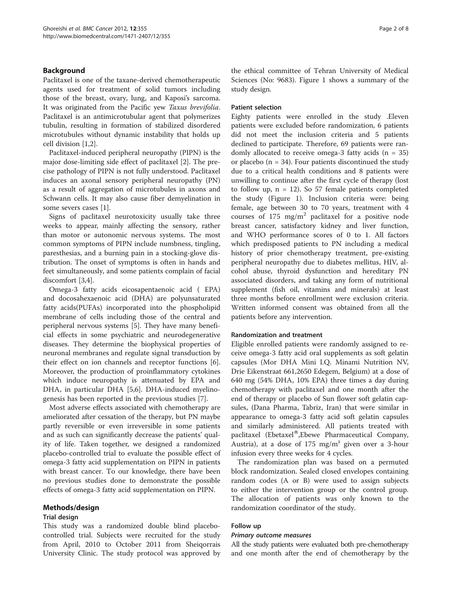# Background

Paclitaxel is one of the taxane-derived chemotherapeutic agents used for treatment of solid tumors including those of the breast, ovary, lung, and Kaposi's sarcoma. It was originated from the Pacific yew Taxus brevifolia. Paclitaxel is an antimicrotubular agent that polymerizes tubulin, resulting in formation of stabilized disordered microtubules without dynamic instability that holds up cell division [\[1,2](#page-6-0)].

Paclitaxel-induced peripheral neuropathy (PIPN) is the major dose-limiting side effect of paclitaxel [[2\]](#page-6-0). The precise pathology of PIPN is not fully understood. Paclitaxel induces an axonal sensory peripheral neuropathy (PN) as a result of aggregation of microtubules in axons and Schwann cells. It may also cause fiber demyelination in some severs cases [[1\]](#page-6-0).

Signs of paclitaxel neurotoxicity usually take three weeks to appear, mainly affecting the sensory, rather than motor or autonomic nervous systems. The most common symptoms of PIPN include numbness, tingling, paresthesias, and a burning pain in a stocking-glove distribution. The onset of symptoms is often in hands and feet simultaneously, and some patients complain of facial discomfort [[3,4\]](#page-6-0).

Omega-3 fatty acids eicosapentaenoic acid ( EPA) and docosahexaenoic acid (DHA) are polyunsaturated fatty acids(PUFAs) incorporated into the phospholipid membrane of cells including those of the central and peripheral nervous systems [\[5\]](#page-6-0). They have many beneficial effects in some psychiatric and neurodegenerative diseases. They determine the biophysical properties of neuronal membranes and regulate signal transduction by their effect on ion channels and receptor functions [\[6](#page-6-0)]. Moreover, the production of proinflammatory cytokines which induce neuropathy is attenuated by EPA and DHA, in particular DHA [[5](#page-6-0),[6](#page-6-0)]. DHA-induced myelinogenesis has been reported in the previous studies [[7\]](#page-6-0).

Most adverse effects associated with chemotherapy are ameliorated after cessation of the therapy, but PN maybe partly reversible or even irreversible in some patients and as such can significantly decrease the patients' quality of life. Taken together, we designed a randomized placebo-controlled trial to evaluate the possible effect of omega-3 fatty acid supplementation on PIPN in patients with breast cancer. To our knowledge, there have been no previous studies done to demonstrate the possible effects of omega-3 fatty acid supplementation on PIPN.

# Methods/design

# Trial design

This study was a randomized double blind placebocontrolled trial. Subjects were recruited for the study from April, 2010 to October 2011 from Sheiqorrais University Clinic. The study protocol was approved by

the ethical committee of Tehran University of Medical Sciences (No: 9683). Figure [1](#page-2-0) shows a summary of the study design.

# Patient selection

Eighty patients were enrolled in the study .Eleven patients were excluded before randomization, 6 patients did not meet the inclusion criteria and 5 patients declined to participate. Therefore, 69 patients were randomly allocated to receive omega-3 fatty acids  $(n = 35)$ or placebo ( $n = 34$ ). Four patients discontinued the study due to a critical health conditions and 8 patients were unwilling to continue after the first cycle of therapy (lost to follow up,  $n = 12$ ). So 57 female patients completed the study (Figure [1\)](#page-2-0). Inclusion criteria were: being female, age between 30 to 70 years, treatment with 4 courses of 175 mg/m<sup>2</sup> paclitaxel for a positive node breast cancer, satisfactory kidney and liver function, and WHO performance scores of 0 to 1. All factors which predisposed patients to PN including a medical history of prior chemotherapy treatment, pre-existing peripheral neuropathy due to diabetes mellitus, HIV, alcohol abuse, thyroid dysfunction and hereditary PN associated disorders, and taking any form of nutritional supplement (fish oil, vitamins and minerals) at least three months before enrollment were exclusion criteria. Written informed consent was obtained from all the patients before any intervention.

# Randomization and treatment

Eligible enrolled patients were randomly assigned to receive omega-3 fatty acid oral supplements as soft gelatin capsules (Mor DHA Mini I.Q. Minami Nutrition NV, Drie Eikenstraat 661,2650 Edegem, Belgium) at a dose of 640 mg (54% DHA, 10% EPA) three times a day during chemotherapy with paclitaxel and one month after the end of therapy or placebo of Sun flower soft gelatin capsules, (Dana Pharma, Tabriz, Iran) that were similar in appearance to omega-3 fatty acid soft gelatin capsules and similarly administered. All patients treated with paclitaxel (Ebetaxel<sup>®</sup>,Ebewe Pharmaceutical Company, Austria), at a dose of  $175 \text{ mg/m}^2$  given over a 3-hour infusion every three weeks for 4 cycles.

The randomization plan was based on a permuted block randomization. Sealed closed envelopes containing random codes (A or B) were used to assign subjects to either the intervention group or the control group. The allocation of patients was only known to the randomization coordinator of the study.

# Follow up

# Primary outcome measures

All the study patients were evaluated both pre-chemotherapy and one month after the end of chemotherapy by the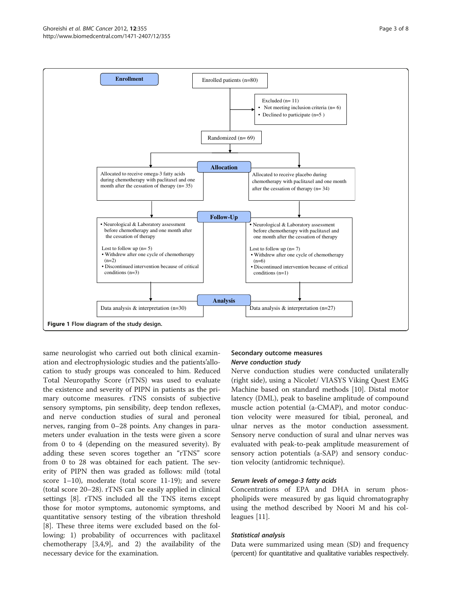<span id="page-2-0"></span>

same neurologist who carried out both clinical examination and electrophysiologic studies and the patients'allocation to study groups was concealed to him. Reduced Total Neuropathy Score (rTNS) was used to evaluate the existence and severity of PIPN in patients as the primary outcome measures. rTNS consists of subjective sensory symptoms, pin sensibility, deep tendon reflexes, and nerve conduction studies of sural and peroneal nerves, ranging from 0–28 points. Any changes in parameters under evaluation in the tests were given a score from 0 to 4 (depending on the measured severity). By adding these seven scores together an "rTNS" score from 0 to 28 was obtained for each patient. The severity of PIPN then was graded as follows: mild (total score 1–10), moderate (total score 11-19); and severe (total score 20–28). rTNS can be easily applied in clinical settings [\[8\]](#page-6-0). rTNS included all the TNS items except those for motor symptoms, autonomic symptoms, and quantitative sensory testing of the vibration threshold [[8\]](#page-6-0). These three items were excluded based on the following: 1) probability of occurrences with paclitaxel chemotherapy [[3](#page-6-0),[4](#page-6-0),[9](#page-6-0)], and 2) the availability of the necessary device for the examination.

# Secondary outcome measures Nerve conduction study

Nerve conduction studies were conducted unilaterally (right side), using a Nicolet/ VIASYS Viking Quest EMG Machine based on standard methods [[10\]](#page-6-0). Distal motor latency (DML), peak to baseline amplitude of compound muscle action potential (a-CMAP), and motor conduction velocity were measured for tibial, peroneal, and ulnar nerves as the motor conduction assessment. Sensory nerve conduction of sural and ulnar nerves was evaluated with peak-to-peak amplitude measurement of sensory action potentials (a-SAP) and sensory conduction velocity (antidromic technique).

# Serum levels of omega-3 fatty acids

Concentrations of EPA and DHA in serum phospholipids were measured by gas liquid chromatography using the method described by Noori M and his colleagues [\[11](#page-6-0)].

# Statistical analysis

Data were summarized using mean (SD) and frequency (percent) for quantitative and qualitative variables respectively.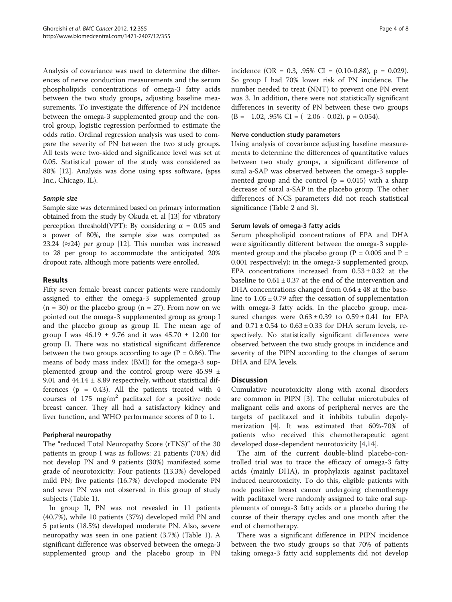Analysis of covariance was used to determine the differences of nerve conduction measurements and the serum phospholipids concentrations of omega-3 fatty acids between the two study groups, adjusting baseline measurements. To investigate the difference of PN incidence between the omega-3 supplemented group and the control group, logistic regression performed to estimate the odds ratio. Ordinal regression analysis was used to compare the severity of PN between the two study groups. All tests were two-sided and significance level was set at 0.05. Statistical power of the study was considered as 80% [[12\]](#page-6-0). Analysis was done using spss software, (spss Inc., Chicago, IL).

#### Sample size

Sample size was determined based on primary information obtained from the study by Okuda et. al [[13](#page-6-0)] for vibratory perception threshold(VPT): By considering  $α = 0.05$  and a power of 80%, the sample size was computed as 23.24 ( $\approx$ 24) per group [[12](#page-6-0)]. This number was increased to 28 per group to accommodate the anticipated 20% dropout rate, although more patients were enrolled.

# Results

Fifty seven female breast cancer patients were randomly assigned to either the omega-3 supplemented group  $(n = 30)$  or the placebo group  $(n = 27)$ . From now on we pointed out the omega-3 supplemented group as group I and the placebo group as group II. The mean age of group I was  $46.19 \pm 9.76$  and it was  $45.70 \pm 12.00$  for group II. There was no statistical significant difference between the two groups according to age ( $P = 0.86$ ). The means of body mass index (BMI) for the omega-3 supplemented group and the control group were 45.99 ± 9.01 and  $44.14 \pm 8.89$  respectively, without statistical differences ( $p = 0.43$ ). All the patients treated with 4 courses of  $175 \text{ mg/m}^2$  paclitaxel for a positive node breast cancer. They all had a satisfactory kidney and liver function, and WHO performance scores of 0 to 1.

#### Peripheral neuropathy

The "reduced Total Neuropathy Score (rTNS)" of the 30 patients in group I was as follows: 21 patients (70%) did not develop PN and 9 patients (30%) manifested some grade of neurotoxicity: Four patients (13.3%) developed mild PN; five patients (16.7%) developed moderate PN and sever PN was not observed in this group of study subjects (Table [1](#page-4-0)).

In group II, PN was not revealed in 11 patients (40.7%), while 10 patients (37%) developed mild PN and 5 patients (18.5%) developed moderate PN. Also, severe neuropathy was seen in one patient (3.7%) (Table [1](#page-4-0)). A significant difference was observed between the omega-3 supplemented group and the placebo group in PN incidence (OR =  $0.3$ , .95% CI =  $(0.10-0.88)$ , p = 0.029). So group I had 70% lower risk of PN incidence. The number needed to treat (NNT) to prevent one PN event was 3. In addition, there were not statistically significant differences in severity of PN between these two groups  $(B = -1.02, .95\% \text{ CI} = (-2.06 - 0.02), p = 0.054).$ 

#### Nerve conduction study parameters

Using analysis of covariance adjusting baseline measurements to determine the differences of quantitative values between two study groups, a significant difference of sural a-SAP was observed between the omega-3 supplemented group and the control  $(p = 0.015)$  with a sharp decrease of sural a-SAP in the placebo group. The other differences of NCS parameters did not reach statistical significance (Table [2](#page-4-0) and [3](#page-5-0)).

# Serum levels of omega-3 fatty acids

Serum phospholipid concentrations of EPA and DHA were significantly different between the omega-3 supplemented group and the placebo group ( $P = 0.005$  and  $P =$ 0.001 respectively): in the omega-3 supplemented group, EPA concentrations increased from  $0.53 \pm 0.32$  at the baseline to  $0.61 \pm 0.37$  at the end of the intervention and DHA concentrations changed from  $0.64 \pm 48$  at the baseline to  $1.05 \pm 0.79$  after the cessation of supplementation with omega-3 fatty acids. In the placebo group, measured changes were  $0.63 \pm 0.39$  to  $0.59 \pm 0.41$  for EPA and  $0.71 \pm 0.54$  to  $0.63 \pm 0.33$  for DHA serum levels, respectively. No statistically significant differences were observed between the two study groups in incidence and severity of the PIPN according to the changes of serum DHA and EPA levels.

# **Discussion**

Cumulative neurotoxicity along with axonal disorders are common in PIPN [[3\]](#page-6-0). The cellular microtubules of malignant cells and axons of peripheral nerves are the targets of paclitaxel and it inhibits tubulin depolymerization [[4](#page-6-0)]. It was estimated that 60%-70% of patients who received this chemotherapeutic agent developed dose-dependent neurotoxicity [[4,](#page-6-0)[14\]](#page-7-0).

The aim of the current double-blind placebo-controlled trial was to trace the efficacy of omega-3 fatty acids (mainly DHA), in prophylaxis against paclitaxel induced neurotoxicity. To do this, eligible patients with node positive breast cancer undergoing chemotherapy with paclitaxel were randomly assigned to take oral supplements of omega-3 fatty acids or a placebo during the course of their therapy cycles and one month after the end of chemotherapy.

There was a significant difference in PIPN incidence between the two study groups so that 70% of patients taking omega-3 fatty acid supplements did not develop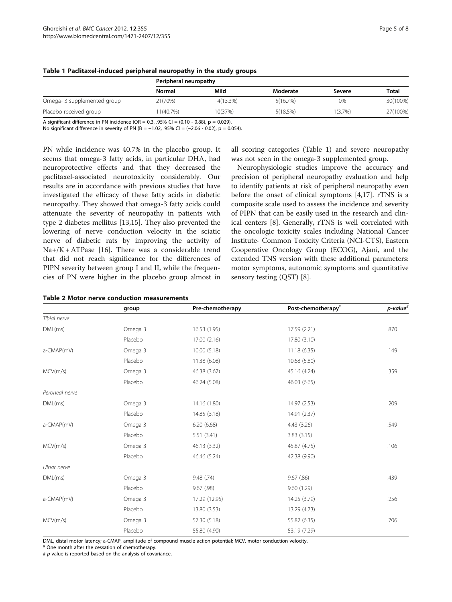|                             | Peripheral neuropathy |             |          |            |          |
|-----------------------------|-----------------------|-------------|----------|------------|----------|
|                             | Normal                | Mild        | Moderate | Severe     | Total    |
| Omega- 3 supplemented group | 21(70%)               | $4(13.3\%)$ | 5(16.7%) | 0%         | 30(100%) |
| Placebo received group      | 11(40.7%)             | 10(37%)     | 5(18.5%) | $1(3.7\%)$ | 27(100%) |

#### <span id="page-4-0"></span>Table 1 Paclitaxel-induced peripheral neuropathy in the study groups

A significant difference in PN incidence (OR =  $0.3$ , .95% CI =  $(0.10 - 0.88)$ , p = 0.029). No significant difference in severity of PN (B = -1.02, .95% CI = (-2.06 - 0.02), p = 0.054).

PN while incidence was 40.7% in the placebo group. It seems that omega-3 fatty acids, in particular DHA, had neuroprotective effects and that they decreased the paclitaxel-associated neurotoxicity considerably. Our results are in accordance with previous studies that have investigated the efficacy of these fatty acids in diabetic neuropathy. They showed that omega-3 fatty acids could attenuate the severity of neuropathy in patients with type 2 diabetes mellitus [[13](#page-6-0),[15](#page-7-0)]. They also prevented the lowering of nerve conduction velocity in the sciatic nerve of diabetic rats by improving the activity of  $Na+ / K + ATP$ ase [[16\]](#page-7-0). There was a considerable trend that did not reach significance for the differences of PIPN severity between group I and II, while the frequencies of PN were higher in the placebo group almost in

|  |  |  |  |  | Table 2 Motor nerve conduction measurements |
|--|--|--|--|--|---------------------------------------------|
|--|--|--|--|--|---------------------------------------------|

all scoring categories (Table 1) and severe neuropathy was not seen in the omega-3 supplemented group.

Neurophysiologic studies improve the accuracy and precision of peripheral neuropathy evaluation and help to identify patients at risk of peripheral neuropathy even before the onset of clinical symptoms [[4,](#page-6-0)[17\]](#page-7-0). rTNS is a composite scale used to assess the incidence and severity of PIPN that can be easily used in the research and clinical centers [[8\]](#page-6-0). Generally, rTNS is well correlated with the oncologic toxicity scales including National Cancer Institute- Common Toxicity Criteria (NCI-CTS), Eastern Cooperative Oncology Group (ECOG), Ajani, and the extended TNS version with these additional parameters: motor symptoms, autonomic symptoms and quantitative sensory testing (QST) [[8](#page-6-0)].

|                | group   | Pre-chemotherapy | Post-chemotherapy <sup>*</sup> | $p$ -value $#$ |
|----------------|---------|------------------|--------------------------------|----------------|
| Tibial nerve   |         |                  |                                |                |
| DML(ms)        | Omega 3 | 16.53 (1.95)     | 17.59 (2.21)                   | .870           |
|                | Placebo | 17.00 (2.16)     | 17.80 (3.10)                   |                |
| a-CMAP(mV)     | Omega 3 | 10.00 (5.18)     | 11.18 (6.35)                   | .149           |
|                | Placebo | 11.38 (6.08)     | 10.68 (5.80)                   |                |
| MCV(m/s)       | Omega 3 | 46.38 (3.67)     | 45.16 (4.24)                   | .359           |
|                | Placebo | 46.24 (5.08)     | 46.03 (6.65)                   |                |
| Peroneal nerve |         |                  |                                |                |
| DML(ms)        | Omega 3 | 14.16 (1.80)     | 14.97 (2.53)                   | .209           |
|                | Placebo | 14.85 (3.18)     | 14.91 (2.37)                   |                |
| a-CMAP(mV)     | Omega 3 | 6.20(6.68)       | 4.43 (3.26)                    | .549           |
|                | Placebo | 5.51(3.41)       | 3.83(3.15)                     |                |
| MCV(m/s)       | Omega 3 | 46.13 (3.32)     | 45.87 (4.75)                   | .106           |
|                | Placebo | 46.46 (5.24)     | 42.38 (9.90)                   |                |
| Ulnar nerve    |         |                  |                                |                |
| DML(ms)        | Omega 3 | 9.48 (.74)       | 9.67(.86)                      | .439           |
|                | Placebo | 9.67 (.98)       | 9.60 (1.29)                    |                |
| a-CMAP(mV)     | Omega 3 | 17.29 (12.95)    | 14.25 (3.79)                   | .256           |
|                | Placebo | 13.80 (3.53)     | 13.29 (4.73)                   |                |
| MCV(m/s)       | Omega 3 | 57.30 (5.18)     | 55.82 (6.35)                   | .706           |
|                | Placebo | 55.80 (4.90)     | 53.19 (7.29)                   |                |

DML, distal motor latency; a-CMAP, amplitude of compound muscle action potential; MCV, motor conduction velocity.

\* One month after the cessation of chemotherapy.

 $# p$  value is reported based on the analysis of covariance.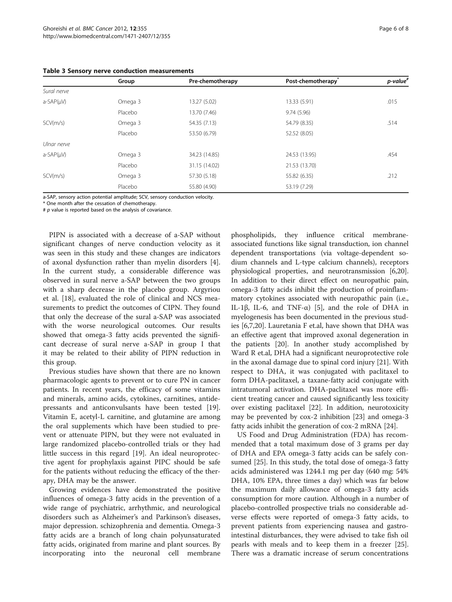|                | Group   | Pre-chemotherapy | Post-chemotherapy <sup>®</sup> | $p$ -value $#$ |
|----------------|---------|------------------|--------------------------------|----------------|
| Sural nerve    |         |                  |                                |                |
| $a-SAP(\mu V)$ | Omega 3 | 13.27 (5.02)     | 13.33 (5.91)                   | .015           |
|                | Placebo | 13.70 (7.46)     | 9.74(5.96)                     |                |
| SCV(m/s)       | Omega 3 | 54.35 (7.13)     | 54.79 (8.35)                   | .514           |
|                | Placebo | 53.50 (6.79)     | 52.52 (8.05)                   |                |
| Ulnar nerve    |         |                  |                                |                |
| $a-SAP(uV)$    | Omega 3 | 34.23 (14.85)    | 24.53 (13.95)                  | .454           |
|                | Placebo | 31.15 (14.02)    | 21.53 (13.70)                  |                |
| SCV(m/s)       | Omega 3 | 57.30 (5.18)     | 55.82 (6.35)                   | .212           |
|                | Placebo | 55.80 (4.90)     | 53.19 (7.29)                   |                |

<span id="page-5-0"></span>Table 3 Sensory nerve conduction measurements

a-SAP, sensory action potential amplitude; SCV, sensory conduction velocity.

\* One month after the cessation of chemotherapy.

 $# p$  value is reported based on the analysis of covariance.

PIPN is associated with a decrease of a-SAP without significant changes of nerve conduction velocity as it was seen in this study and these changes are indicators of axonal dysfunction rather than myelin disorders [\[4](#page-6-0)]. In the current study, a considerable difference was observed in sural nerve a-SAP between the two groups with a sharp decrease in the placebo group. Argyriou et al. [[18](#page-7-0)], evaluated the role of clinical and NCS measurements to predict the outcomes of CIPN. They found that only the decrease of the sural a-SAP was associated with the worse neurological outcomes. Our results showed that omega-3 fatty acids prevented the significant decrease of sural nerve a-SAP in group I that it may be related to their ability of PIPN reduction in this group.

Previous studies have shown that there are no known pharmacologic agents to prevent or to cure PN in cancer patients. In recent years, the efficacy of some vitamins and minerals, amino acids, cytokines, carnitines, antidepressants and anticonvulsants have been tested [\[19](#page-7-0)]. Vitamin E, acetyl-L carnitine, and glutamine are among the oral supplements which have been studied to prevent or attenuate PIPN, but they were not evaluated in large randomized placebo-controlled trials or they had little success in this regard [[19\]](#page-7-0). An ideal neuroprotective agent for prophylaxis against PIPC should be safe for the patients without reducing the efficacy of the therapy, DHA may be the answer.

Growing evidences have demonstrated the positive influences of omega-3 fatty acids in the prevention of a wide range of psychiatric, arrhythmic, and neurological disorders such as Alzheimer's and Parkinson's diseases, major depression. schizophrenia and dementia. Omega-3 fatty acids are a branch of long chain polyunsaturated fatty acids, originated from marine and plant sources. By incorporating into the neuronal cell membrane

phospholipids, they influence critical membraneassociated functions like signal transduction, ion channel dependent transportations (via voltage-dependent sodium channels and L-type calcium channels), receptors physiological properties, and neurotransmission [[6](#page-6-0),[20](#page-7-0)]. In addition to their direct effect on neuropathic pain, omega-3 fatty acids inhibit the production of proinflammatory cytokines associated with neuropathic pain (i.e., IL-1β, IL-6, and TNF-α) [\[5](#page-6-0)], and the role of DHA in myelogenesis has been documented in the previous studies [\[6,7](#page-6-0)[,20](#page-7-0)]. Lauretania F et.al, have shown that DHA was an effective agent that improved axonal degeneration in the patients [[20](#page-7-0)]. In another study accomplished by Ward R et.al, DHA had a significant neuroprotective role in the axonal damage due to spinal cord injury [[21\]](#page-7-0). With respect to DHA, it was conjugated with paclitaxel to form DHA-paclitaxel, a taxane-fatty acid conjugate with intratumoral activation. DHA-paclitaxel was more efficient treating cancer and caused significantly less toxicity over existing paclitaxel [\[22](#page-7-0)]. In addition, neurotoxicity may be prevented by cox-2 inhibition [\[23](#page-7-0)] and omega-3 fatty acids inhibit the generation of cox-2 mRNA [\[24](#page-7-0)].

US Food and Drug Administration (FDA) has recommended that a total maximum dose of 3 grams per day of DHA and EPA omega-3 fatty acids can be safely consumed [[25\]](#page-7-0). In this study, the total dose of omega-3 fatty acids administered was 1244.1 mg per day (640 mg: 54% DHA, 10% EPA, three times a day) which was far below the maximum daily allowance of omega-3 fatty acids consumption for more caution. Although in a number of placebo-controlled prospective trials no considerable adverse effects were reported of omega-3 fatty acids, to prevent patients from experiencing nausea and gastrointestinal disturbances, they were advised to take fish oil pearls with meals and to keep them in a freezer [\[25](#page-7-0)]. There was a dramatic increase of serum concentrations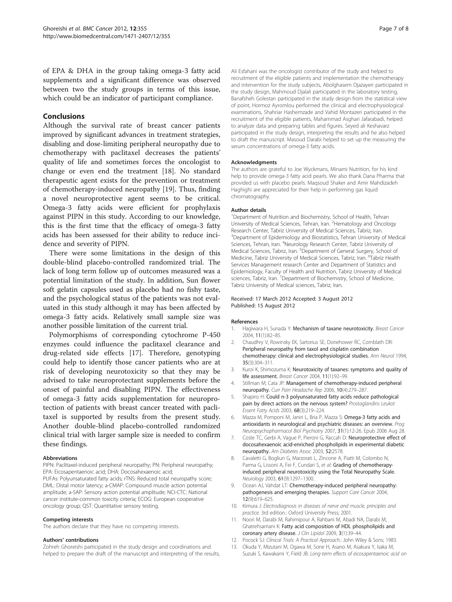<span id="page-6-0"></span>of EPA & DHA in the group taking omega-3 fatty acid supplements and a significant difference was observed between two the study groups in terms of this issue, which could be an indicator of participant compliance.

#### Conclusions

Although the survival rate of breast cancer patients improved by significant advances in treatment strategies, disabling and dose-limiting peripheral neuropathy due to chemotherapy with paclitaxel decreases the patients' quality of life and sometimes forces the oncologist to change or even end the treatment [[18](#page-7-0)]. No standard therapeutic agent exists for the prevention or treatment of chemotherapy-induced neuropathy [\[19](#page-7-0)]. Thus, finding a novel neuroprotective agent seems to be critical. Omega-3 fatty acids were efficient for prophylaxis against PIPN in this study. According to our knowledge, this is the first time that the efficacy of omega-3 fatty acids has been assessed for their ability to reduce incidence and severity of PIPN.

There were some limitations in the design of this double-blind placebo-controlled randomized trial. The lack of long term follow up of outcomes measured was a potential limitation of the study. In addition, Sun flower soft gelatin capsules used as placebo had no fishy taste, and the psychological status of the patients was not evaluated in this study although it may has been affected by omega-3 fatty acids. Relatively small sample size was another possible limitation of the current trial.

Polymorphisms of corresponding cytochrome P-450 enzymes could influence the paclitaxel clearance and drug-related side effects [[17](#page-7-0)]. Therefore, genotyping could help to identify those cancer patients who are at risk of developing neurotoxicity so that they may be advised to take neuroprotectant supplements before the onset of painful and disabling PIPN. The effectiveness of omega-3 fatty acids supplementation for neuroprotection of patients with breast cancer treated with paclitaxel is supported by results from the present study. Another double-blind placebo-controlled randomized clinical trial with larger sample size is needed to confirm these findings.

#### Abbreviations

PIPN: Paclitaxel-induced peripheral neuropathy; PN: Peripheral neuropathy; EPA: Eicosapentaenoic acid; DHA: Docosahexaenoic acid; PUFAs: Polyunsaturated fatty acids; rTNS: Reduced total neuropathy score; DML: Distal motor latency; a-CMAP: Compound muscle action potential amplitude; a-SAP: Sensory action potential amplitude; NCI-CTC: National cancer institute-common toxicity criteria; ECOG: European cooperative

oncology group; QST: Quantitative sensory testing.

#### Competing interests

The authors declare that they have no competing interests.

#### Authors' contributions

Zohreh Ghoreishi participated in the study design and coordinations and helped to prepare the draft of the manuscript and interpreting of the results,

Ali Esfahani was the oncologist contributor of the study and helped to recruitment of the eligible patients and implementation the chemotherapy and intervention for the study subjects, Abolghasem Djazayeri participated in the study design, Mahmoud Djalali participated in the laboratory testing, Banafsheh Golestan participated in the study design from the statistical view of point, Hormoz Ayromlou performed the clinical and electrophysiological examinations, Shahriar Hashemzade and Vahid Montazeri participated in the recruitment of the eligible patients, Mahammad Asghari Jafarabadi, helped to analyze data and preparing tables and figures. Seyed ali Keshavarz participated in the study design, interpreting the results and he also helped to draft the manuscript. Masoud Darabi helped to set up the measuring the serum concentrations of omega-3 fatty acids.

#### Acknowledgments

The authors are grateful to Joe Wyckmans, Minami Nutrition, for his kind help to provide omega-3 fatty acid pearls. We also thank Dana Pharma that provided us with placebo pearls. Maqsoud Shaker and Amir Mahdizadeh Haghighi are appreciated for their help in performing gas liquid chromatography.

#### Author details

<sup>1</sup>Department of Nutrition and Biochemistry, School of Health, Tehran University of Medical Sciences, Tehran, Iran. <sup>2</sup> Hematology and Oncology Research Center, Tabriz University of Medical Sciences, Tabriz, Iran. <sup>3</sup>Department of Epidemiology and Biostatistics, Tehran University of Medical Sciences, Tehran, Iran. <sup>4</sup>Neurology Research Center, Tabriz University of Medical Sciences, Tabriz, Iran. <sup>5</sup>Department of General Surgery, School of Medicine, Tabriz University of Medical Sciences, Tabriz, Iran. <sup>6</sup>Tabriz Health Services Management research Center and Department of Statistics and Epidemiology, Faculty of Health and Nutrition, Tabriz University of Medical sciences, Tabriz, Iran. <sup>7</sup> Department of Biochemistry, School of Medicine Tabriz University of Medical sciences, Tabriz, Iran.

#### Received: 17 March 2012 Accepted: 3 August 2012 Published: 15 August 2012

#### References

- Hagiwara H, Sunada Y: Mechanism of taxane neurotoxicity. Breast Cancer 2004, 11(1):82–85.
- 2. Chaudhry V, Rowinsky EK, Sartorius SE, Donehower RC, Cornblath DR: Peripheral neuropathy from taxol and cisplatin combination chemotherapy: clinical and electrophysiological studies. Ann Neurol 1994, 35(3):304–311.
- 3. Kuroi K, Shimozuma K: Neurotoxicity of taxanes: symptoms and quality of life assessment. Breast Cancer 2004, 11(1):92–99.
- 4. Stillman M, Cata JP: Management of chemotherapy-induced peripheral neuropathy. Curr Pain Headache Rep 2006, 10(4):279–287.
- 5. Shapiro H: Could n-3 polyunsaturated fatty acids reduce pathological pain by direct actions on the nervous system? Prostaglandins Leukot Essent Fatty Acids 2003, 68(3):219–224.
- 6. Mazza M, Pomponi M, Janiri L, Bria P, Mazza S: Omega-3 fatty acids and antioxidants in neurological and psychiatric diseases: an overview. Prog Neuropsychopharmacol Biol Psychiatry 2007, 31(1):12-26. Epub 2006 Aug 28.
- 7. Coste TC, Gerbi A, Vague P, Pieroni G, Raccah D: Neuroprotective effect of docosahexaenoic acid-enriched phospholipids in experimental diabetic neuropathy. Am Diabetes Assoc 2003, 52:2578.
- 8. Cavaletti G, Bogliun G, Marzorati L, Zincone A, Piatti M, Colombo N, Parma G, Lissoni A, Fei F, Cundari S, et al: Grading of chemotherapyinduced peripheral neurotoxicity using the Total Neuropathy Scale. Neurology 2003, 61(9):1297–1300.
- 9. Ocean AJ, Vahdat LT: Chemotherapy-induced peripheral neuropathy: pathogenesis and emerging therapies. Support Care Cancer 2004, 12(9):619–625.
- 10. Kimura J: Electrodiagnosis in diseases of nerve and muscle, principles and practice. 3rd edition.: Oxford University Press; 2001.
- 11. Noori M, Darabi M, Rahimipour A, Rahbani M, Abadi NA, Darabi M, Ghatrehsamani K: Fatty acid composition of HDL phospholipids and coronary artery disease. J Clin Lipidol 2009, 3(1):39-44.
- 12. Pocock SJ: Clinical Trials: A Practical Approach.: John Wiley & Sons; 1983.
- 13. Okuda Y, Mizutani M, Ogawa M, Sone H, Asano M, Asakura Y, Isaka M, Suzuki S, Kawakami Y, Field JB: Long-term effects of eicosapentaenoic acid on